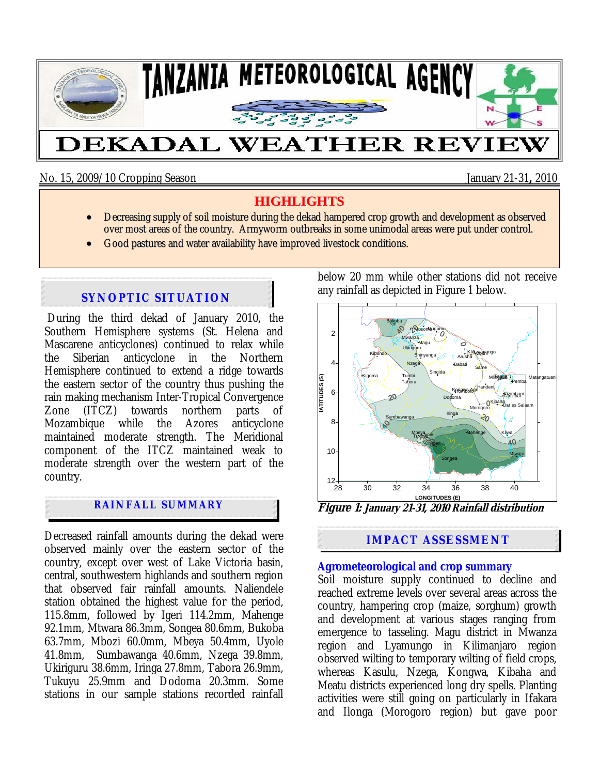

No. 15, 2009/10 Cropping Season January 21-31**,** 2010

# **HIGHLIGHTS**

- Decreasing supply of soil moisture during the dekad hampered crop growth and development as observed over most areas of the country. Armyworm outbreaks in some unimodal areas were put under control.
- Good pastures and water availability have improved livestock conditions.

# **SYNOPTIC SITUATION**

During the third dekad of January 2010, the Southern Hemisphere systems (St. Helena and Mascarene anticyclones) continued to relax while the Siberian anticyclone in the Northern Hemisphere continued to extend a ridge towards the eastern sector of the country thus pushing the rain making mechanism Inter-Tropical Convergence Zone (ITCZ) towards northern parts of Mozambique while the Azores anticyclone maintained moderate strength. The Meridional component of the ITCZ maintained weak to moderate strength over the western part of the country.

# **RAINFALL SUMMARY**

Decreased rainfall amounts during the dekad were observed mainly over the eastern sector of the country, except over west of Lake Victoria basin, central, southwestern highlands and southern region that observed fair rainfall amounts. Naliendele station obtained the highest value for the period, 115.8mm, followed by Igeri 114.2mm, Mahenge 92.1mm, Mtwara 86.3mm, Songea 80.6mm, Bukoba 63.7mm, Mbozi 60.0mm, Mbeya 50.4mm, Uyole 41.8mm, Sumbawanga 40.6mm, Nzega 39.8mm, Ukiriguru 38.6mm, Iringa 27.8mm, Tabora 26.9mm, Tukuyu 25.9mm and Dodoma 20.3mm. Some stations in our sample stations recorded rainfall below 20 mm while other stations did not receive any rainfall as depicted in Figure 1 below.



**Figure 1: January 21-31, 2010 Rainfall distribution**

# **IMPACT ASSESSMENT**

### **Agrometeorological and crop summary**

Soil moisture supply continued to decline and reached extreme levels over several areas across the country, hampering crop (maize, sorghum) growth and development at various stages ranging from emergence to tasseling. Magu district in Mwanza region and Lyamungo in Kilimanjaro region observed wilting to temporary wilting of field crops, whereas Kasulu, Nzega, Kongwa, Kibaha and Meatu districts experienced long dry spells. Planting activities were still going on particularly in Ifakara and Ilonga (Morogoro region) but gave poor